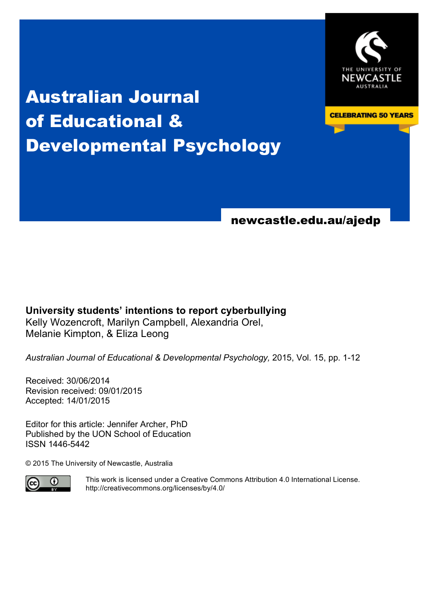

**CELEBRATING 50 YEARS** 

# Australian Journal of Educational & Developmental Psychology

newcastle.edu.au/ajedp

# **University students' intentions to report cyberbullying** Kelly Wozencroft, Marilyn Campbell, Alexandria Orel, Melanie Kimpton, & Eliza Leong

*Australian Journal of Educational & Developmental Psychology,* 2015, Vol. 15, pp. 1-12

Received: 30/06/2014 Revision received: 09/01/2015 Accepted: 14/01/2015

Editor for this article: Jennifer Archer, PhD Published by the UON School of Education ISSN 1446-5442

© 2015 The University of Newcastle, Australia



This work is licensed under a Creative Commons Attribution 4.0 International License. http://creativecommons.org/licenses/by/4.0/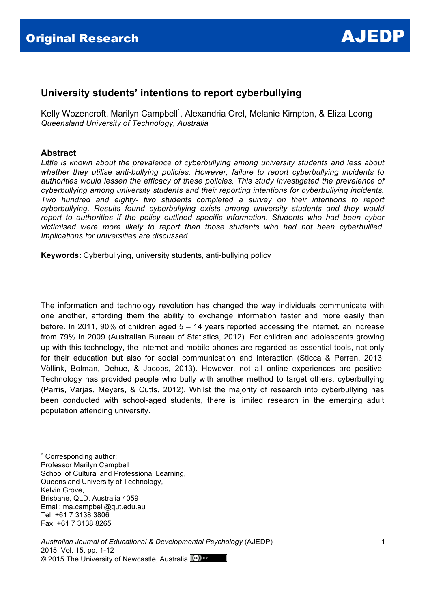

# **University students' intentions to report cyberbullying**

Kelly Wozencroft, Marilyn Campbell<sup>\*</sup>, Alexandria Orel, Melanie Kimpton, & Eliza Leong *Queensland University of Technology, Australia*

#### **Abstract**

*Little is known about the prevalence of cyberbullying among university students and less about whether they utilise anti-bullying policies. However, failure to report cyberbullying incidents to authorities would lessen the efficacy of these policies. This study investigated the prevalence of cyberbullying among university students and their reporting intentions for cyberbullying incidents. Two hundred and eighty- two students completed a survey on their intentions to report cyberbullying. Results found cyberbullying exists among university students and they would report to authorities if the policy outlined specific information. Students who had been cyber victimised were more likely to report than those students who had not been cyberbullied. Implications for universities are discussed.*

**Keywords:** Cyberbullying, university students, anti-bullying policy

The information and technology revolution has changed the way individuals communicate with one another, affording them the ability to exchange information faster and more easily than before. In 2011, 90% of children aged 5 – 14 years reported accessing the internet, an increase from 79% in 2009 (Australian Bureau of Statistics, 2012). For children and adolescents growing up with this technology, the Internet and mobile phones are regarded as essential tools, not only for their education but also for social communication and interaction (Sticca & Perren, 2013; Völlink, Bolman, Dehue, & Jacobs, 2013). However, not all online experiences are positive. Technology has provided people who bully with another method to target others: cyberbullying (Parris, Varjas, Meyers, & Cutts, 2012). Whilst the majority of research into cyberbullying has been conducted with school-aged students, there is limited research in the emerging adult population attending university.

\* Corresponding author: Professor Marilyn Campbell School of Cultural and Professional Learning, Queensland University of Technology, Kelvin Grove, Brisbane, QLD, Australia 4059 Email: ma.campbell@qut.edu.au Tel: +61 7 3138 3806 Fax: +61 7 3138 8265

!!!!!!!!!!!!!!!!!!!!!!!!!!!!!!!!!!!!!!!!!!!!!!!!!!!!!!!

*Australian Journal of Educational & Developmental Psychology* (AJEDP) 2015, Vol. 15, pp. 1-12 © 2015 The University of Newcastle, Australia <sup>(cc)</sup> BY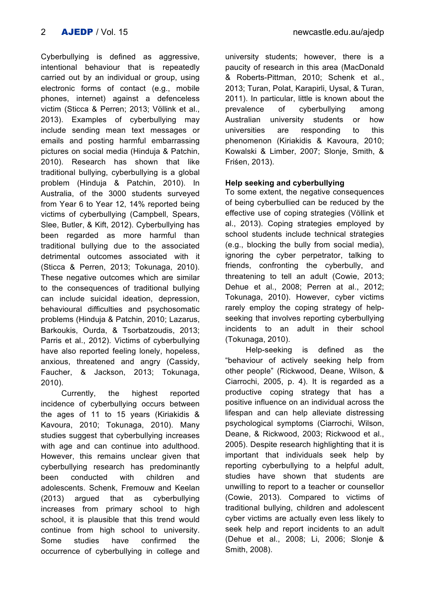Cyberbullying is defined as aggressive, intentional behaviour that is repeatedly carried out by an individual or group, using electronic forms of contact (e.g., mobile phones, internet) against a defenceless victim (Sticca & Perren; 2013; Völlink et al., 2013). Examples of cyberbullying may include sending mean text messages or emails and posting harmful embarrassing pictures on social media (Hinduja & Patchin, 2010). Research has shown that like traditional bullying, cyberbullying is a global problem (Hinduja & Patchin, 2010). In Australia, of the 3000 students surveyed from Year 6 to Year 12, 14% reported being victims of cyberbullying (Campbell, Spears, Slee, Butler, & Kift, 2012). Cyberbullying has been regarded as more harmful than traditional bullying due to the associated detrimental outcomes associated with it (Sticca & Perren, 2013; Tokunaga, 2010). These negative outcomes which are similar to the consequences of traditional bullying can include suicidal ideation, depression, behavioural difficulties and psychosomatic problems (Hinduja & Patchin, 2010; Lazarus, Barkoukis, Ourda, & Tsorbatzoudis, 2013; Parris et al., 2012). Victims of cyberbullying

have also reported feeling lonely, hopeless, anxious, threatened and angry (Cassidy, Faucher, & Jackson, 2013; Tokunaga, 2010).

Currently, the highest reported incidence of cyberbullying occurs between the ages of 11 to 15 years (Kiriakidis & Kavoura, 2010; Tokunaga, 2010). Many studies suggest that cyberbullying increases with age and can continue into adulthood. However, this remains unclear given that cyberbullying research has predominantly been conducted with children and adolescents. Schenk, Fremouw and Keelan (2013) argued that as cyberbullying increases from primary school to high school, it is plausible that this trend would continue from high school to university. Some studies have confirmed the occurrence of cyberbullying in college and university students; however, there is a paucity of research in this area (MacDonald & Roberts-Pittman, 2010; Schenk et al., 2013; Turan, Polat, Karapirli, Uysal, & Turan, 2011). In particular, little is known about the prevalence of cyberbullying among Australian university students or how universities are responding to this phenomenon (Kiriakidis & Kavoura, 2010; Kowalski & Limber, 2007; Slonje, Smith, & Friśen, 2013).

# **Help seeking and cyberbullying**

To some extent, the negative consequences of being cyberbullied can be reduced by the effective use of coping strategies (Völlink et al., 2013). Coping strategies employed by school students include technical strategies (e.g., blocking the bully from social media), ignoring the cyber perpetrator, talking to friends, confronting the cyberbully, and threatening to tell an adult (Cowie, 2013; Dehue et al., 2008; Perren at al., 2012; Tokunaga, 2010). However, cyber victims rarely employ the coping strategy of helpseeking that involves reporting cyberbullying incidents to an adult in their school (Tokunaga, 2010).

Help-seeking is defined as the "behaviour of actively seeking help from other people" (Rickwood, Deane, Wilson, & Ciarrochi, 2005, p. 4). It is regarded as a productive coping strategy that has a positive influence on an individual across the lifespan and can help alleviate distressing psychological symptoms (Ciarrochi, Wilson, Deane, & Rickwood, 2003; Rickwood et al., 2005). Despite research highlighting that it is important that individuals seek help by reporting cyberbullying to a helpful adult, studies have shown that students are unwilling to report to a teacher or counsellor (Cowie, 2013). Compared to victims of traditional bullying, children and adolescent cyber victims are actually even less likely to seek help and report incidents to an adult (Dehue et al., 2008; Li, 2006; Slonje & Smith, 2008).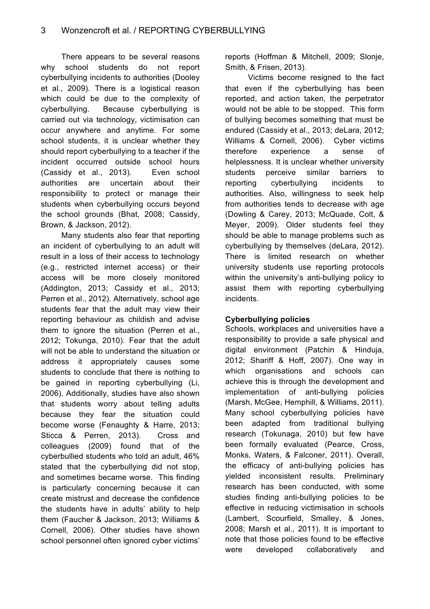There appears to be several reasons why school students do not report cyberbullying incidents to authorities (Dooley et al., 2009). There is a logistical reason which could be due to the complexity of cyberbullying. Because cyberbullying is carried out via technology, victimisation can occur anywhere and anytime. For some school students, it is unclear whether they should report cyberbullying to a teacher if the incident occurred outside school hours (Cassidy et al., 2013). Even school authorities are uncertain about their responsibility to protect or manage their students when cyberbullying occurs beyond the school grounds (Bhat, 2008; Cassidy, Brown, & Jackson, 2012).

Many students also fear that reporting an incident of cyberbullying to an adult will result in a loss of their access to technology (e.g., restricted internet access) or their access will be more closely monitored (Addington, 2013; Cassidy et al., 2013; Perren et al., 2012). Alternatively, school age students fear that the adult may view their reporting behaviour as childish and advise them to ignore the situation (Perren et al., 2012; Tokunga, 2010). Fear that the adult will not be able to understand the situation or address it appropriately causes some students to conclude that there is nothing to be gained in reporting cyberbullying (Li, 2006). Additionally, studies have also shown that students worry about telling adults because they fear the situation could become worse (Fenaughty & Harre, 2013; Sticca & Perren, 2013). Cross and colleagues (2009) found that of the cyberbullied students who told an adult, 46% stated that the cyberbullying did not stop, and sometimes became worse. This finding is particularly concerning because it can create mistrust and decrease the confidence the students have in adults' ability to help them (Faucher & Jackson, 2013; Williams & Cornell, 2006). Other studies have shown school personnel often ignored cyber victims' reports (Hoffman & Mitchell, 2009; Slonje, Smith, & Frisen, 2013).

Victims become resigned to the fact that even if the cyberbullying has been reported, and action taken, the perpetrator would not be able to be stopped. This form of bullying becomes something that must be endured (Cassidy et al., 2013; deLara, 2012; Williams & Cornell, 2006). Cyber victims therefore experience a sense of helplessness. It is unclear whether university students perceive similar barriers to reporting cyberbullying incidents to authorities. Also, willingness to seek help from authorities tends to decrease with age (Dowling & Carey, 2013; McQuade, Colt, & Meyer, 2009). Older students feel they should be able to manage problems such as cyberbullying by themselves (deLara, 2012). There is limited research on whether university students use reporting protocols within the university's anti-bullying policy to assist them with reporting cyberbullying incidents.

#### **Cyberbullying policies**

Schools, workplaces and universities have a responsibility to provide a safe physical and digital environment (Patchin & Hinduja, 2012; Shariff & Hoff, 2007). One way in which organisations and schools can achieve this is through the development and implementation of anti-bullying policies (Marsh, McGee, Hemphill, & Williams, 2011). Many school cyberbullying policies have been adapted from traditional bullying research (Tokunaga, 2010) but few have been formally evaluated (Pearce, Cross, Monks, Waters, & Falconer, 2011). Overall, the efficacy of anti-bullying policies has yielded inconsistent results. Preliminary research has been conducted, with some studies finding anti-bullying policies to be effective in reducing victimisation in schools (Lambert, Scourfield, Smalley, & Jones, 2008; Marsh et al., 2011). It is important to note that those policies found to be effective were developed collaboratively and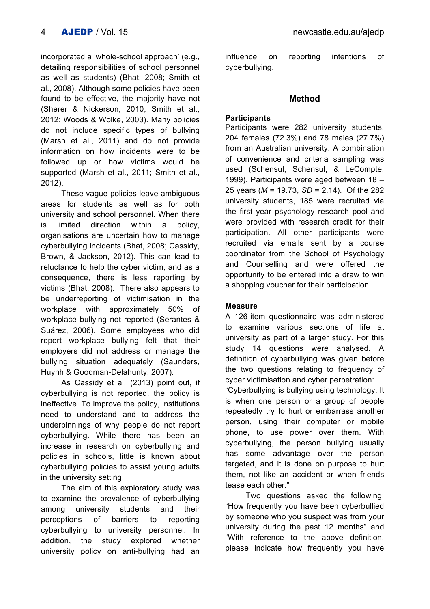incorporated a 'whole-school approach' (e.g., detailing responsibilities of school personnel as well as students) (Bhat, 2008; Smith et al., 2008). Although some policies have been found to be effective, the majority have not (Sherer & Nickerson, 2010; Smith et al., 2012; Woods & Wolke, 2003). Many policies do not include specific types of bullying (Marsh et al., 2011) and do not provide information on how incidents were to be followed up or how victims would be supported (Marsh et al., 2011; Smith et al., 2012).

These vague policies leave ambiguous areas for students as well as for both university and school personnel. When there is limited direction within a policy, organisations are uncertain how to manage cyberbullying incidents (Bhat, 2008; Cassidy, Brown, & Jackson, 2012). This can lead to reluctance to help the cyber victim, and as a consequence, there is less reporting by victims (Bhat, 2008). There also appears to be underreporting of victimisation in the workplace with approximately 50% of workplace bullying not reported (Serantes & Suárez, 2006). Some employees who did report workplace bullying felt that their employers did not address or manage the bullying situation adequately (Saunders, Huynh & Goodman-Delahunty, 2007).

As Cassidy et al. (2013) point out, if cyberbullying is not reported, the policy is ineffective. To improve the policy, institutions need to understand and to address the underpinnings of why people do not report cyberbullying. While there has been an increase in research on cyberbullying and policies in schools, little is known about cyberbullying policies to assist young adults in the university setting.

The aim of this exploratory study was to examine the prevalence of cyberbullying among university students and their perceptions of barriers to reporting cyberbullying to university personnel. In addition, the study explored whether university policy on anti-bullying had an influence on reporting intentions of cyberbullying.

#### **Method**

#### **Participants**

Participants were 282 university students, 204 females (72.3%) and 78 males (27.7%) from an Australian university. A combination of convenience and criteria sampling was used (Schensul, Schensul, & LeCompte, 1999). Participants were aged between 18 – 25 years (*M* = 19.73, *SD* = 2.14). Of the 282 university students, 185 were recruited via the first year psychology research pool and were provided with research credit for their participation. All other participants were recruited via emails sent by a course coordinator from the School of Psychology and Counselling and were offered the opportunity to be entered into a draw to win a shopping voucher for their participation.

# **Measure**

A 126-item questionnaire was administered to examine various sections of life at university as part of a larger study. For this study 14 questions were analysed. A definition of cyberbullying was given before the two questions relating to frequency of cyber victimisation and cyber perpetration:

"Cyberbullying is bullying using technology. It is when one person or a group of people repeatedly try to hurt or embarrass another person, using their computer or mobile phone, to use power over them. With cyberbullying, the person bullying usually has some advantage over the person targeted, and it is done on purpose to hurt them, not like an accident or when friends tease each other."

Two questions asked the following: "How frequently you have been cyberbullied by someone who you suspect was from your university during the past 12 months" and "With reference to the above definition, please indicate how frequently you have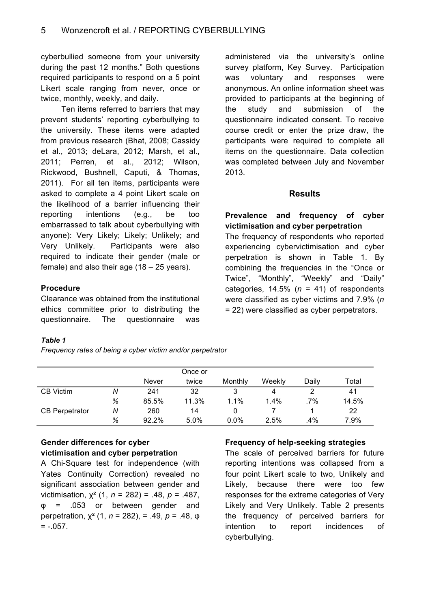cyberbullied someone from your university during the past 12 months." Both questions required participants to respond on a 5 point Likert scale ranging from never, once or twice, monthly, weekly, and daily.

Ten items referred to barriers that may prevent students' reporting cyberbullying to the university. These items were adapted from previous research (Bhat, 2008; Cassidy et al., 2013; deLara, 2012; Marsh, et al., 2011; Perren, et al., 2012; Wilson, Rickwood, Bushnell, Caputi, & Thomas, 2011). For all ten items, participants were asked to complete a 4 point Likert scale on the likelihood of a barrier influencing their reporting intentions (e.g., be too embarrassed to talk about cyberbullying with anyone): Very Likely; Likely; Unlikely; and Very Unlikely. Participants were also required to indicate their gender (male or female) and also their age (18 – 25 years).

# **Procedure**

Clearance was obtained from the institutional ethics committee prior to distributing the questionnaire. The questionnaire was

#### *Table 1*

*Frequency rates of being a cyber victim and/or perpetrator*

administered via the university's online survey platform, Key Survey. Participation was voluntary and responses were anonymous. An online information sheet was provided to participants at the beginning of the study and submission of the questionnaire indicated consent. To receive course credit or enter the prize draw, the participants were required to complete all items on the questionnaire. Data collection was completed between July and November 2013.

#### **Results**

#### **Prevalence and frequency of cyber victimisation and cyber perpetration** The frequency of respondents who reported

experiencing cybervictimisation and cyber perpetration is shown in Table 1. By combining the frequencies in the "Once or Twice", "Monthly", "Weekly" and "Daily" categories, 14.5% (*n* = 41) of respondents were classified as cyber victims and 7.9% (*n* = 22) were classified as cyber perpetrators.

|                       |   |              | Once or |         |         |       |       |
|-----------------------|---|--------------|---------|---------|---------|-------|-------|
|                       |   | <b>Never</b> | twice   | Monthly | Weekly  | Daily | Total |
| <b>CB</b> Victim      | Ν | 241          | 32      | 3       | 4       |       | 41    |
|                       | % | 85.5%        | 11.3%   | 1.1%    | $1.4\%$ | .7%   | 14.5% |
| <b>CB Perpetrator</b> | Ν | 260          | 14      |         |         |       | 22    |
|                       | % | 92.2%        | 5.0%    | $0.0\%$ | 2.5%    | .4%   | 7.9%  |

# **Gender differences for cyber victimisation and cyber perpetration**

A Chi-Square test for independence (with Yates Continuity Correction) revealed no significant association between gender and victimisation, χ² (1, *n* = 282) = .48, *p* = .487, φ = .053 or between gender and perpetration, χ² (1, *n* = 282), = .49, *p* = .48, φ  $= -0.057$ .

# **Frequency of help-seeking strategies**

The scale of perceived barriers for future reporting intentions was collapsed from a four point Likert scale to two, Unlikely and Likely, because there were too few responses for the extreme categories of Very Likely and Very Unlikely. Table 2 presents the frequency of perceived barriers for intention to report incidences of cyberbullying.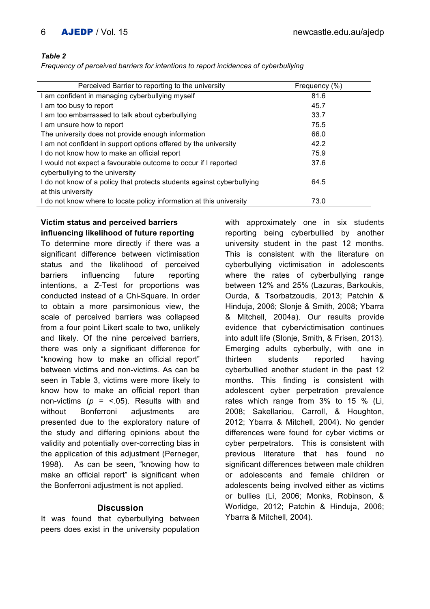#### *Table 2*

*Frequency of perceived barriers for intentions to report incidences of cyberbullying*

| Perceived Barrier to reporting to the university                       | Frequency (%) |
|------------------------------------------------------------------------|---------------|
| I am confident in managing cyberbullying myself                        | 81.6          |
| I am too busy to report                                                | 45.7          |
| I am too embarrassed to talk about cyberbullying                       | 33.7          |
| I am unsure how to report                                              | 75.5          |
| The university does not provide enough information                     | 66.0          |
| I am not confident in support options offered by the university        | 42.2          |
| I do not know how to make an official report                           | 75.9          |
| I would not expect a favourable outcome to occur if I reported         | 37.6          |
| cyberbullying to the university                                        |               |
| I do not know of a policy that protects students against cyberbullying | 64.5          |
| at this university                                                     |               |
| I do not know where to locate policy information at this university    | 73.0          |

# **Victim status and perceived barriers influencing likelihood of future reporting**

To determine more directly if there was a significant difference between victimisation status and the likelihood of perceived barriers influencing future reporting intentions, a Z-Test for proportions was conducted instead of a Chi-Square. In order to obtain a more parsimonious view, the scale of perceived barriers was collapsed from a four point Likert scale to two, unlikely and likely. Of the nine perceived barriers, there was only a significant difference for "knowing how to make an official report" between victims and non-victims. As can be seen in Table 3, victims were more likely to know how to make an official report than non-victims (*p* = <.05). Results with and without Bonferroni adjustments are presented due to the exploratory nature of the study and differing opinions about the validity and potentially over-correcting bias in the application of this adjustment (Perneger, 1998). As can be seen, "knowing how to make an official report" is significant when the Bonferroni adjustment is not applied.

# **Discussion**

It was found that cyberbullying between peers does exist in the university population with approximately one in six students reporting being cyberbullied by another university student in the past 12 months. This is consistent with the literature on cyberbullying victimisation in adolescents where the rates of cyberbullying range between 12% and 25% (Lazuras, Barkoukis, Ourda, & Tsorbatzoudis, 2013; Patchin & Hinduja, 2006; Slonje & Smith, 2008; Ybarra & Mitchell, 2004a). Our results provide evidence that cybervictimisation continues into adult life (Slonie, Smith, & Frisen, 2013). Emerging adults cyberbully, with one in thirteen students reported having cyberbullied another student in the past 12 months. This finding is consistent with adolescent cyber perpetration prevalence rates which range from 3% to 15 % (Li, 2008; Sakellariou, Carroll, & Houghton, 2012; Ybarra & Mitchell, 2004). No gender differences were found for cyber victims or cyber perpetrators. This is consistent with previous literature that has found no significant differences between male children or adolescents and female children or adolescents being involved either as victims or bullies (Li, 2006; Monks, Robinson, & Worlidge, 2012; Patchin & Hinduja, 2006; Ybarra & Mitchell, 2004).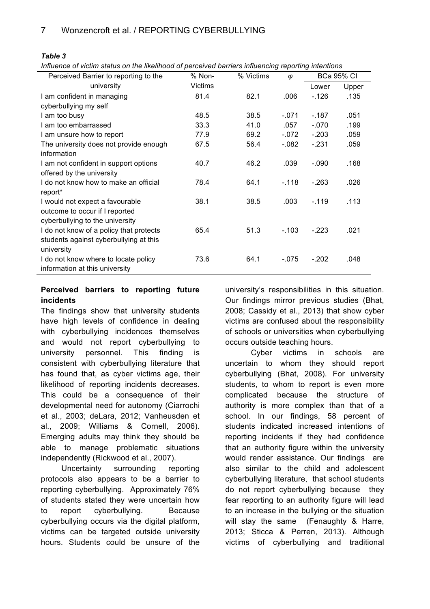*Table 3*

*Influence of victim status on the likelihood of perceived barriers influencing reporting intentions*

| Perceived Barrier to reporting to the   | % Non-         | % Victims | φ       | <b>BCa 95% CI</b> |       |
|-----------------------------------------|----------------|-----------|---------|-------------------|-------|
| university                              | <b>Victims</b> |           |         | Lower             | Upper |
| I am confident in managing              | 81.4           | 82.1      | .006    | $-126$            | .135  |
| cyberbullying my self                   |                |           |         |                   |       |
| I am too busy                           | 48.5           | 38.5      | $-.071$ | $-187$            | .051  |
| I am too embarrassed                    | 33.3           | 41.0      | .057    | $-.070$           | .199  |
| I am unsure how to report               | 77.9           | 69.2      | $-072$  | $-.203$           | .059  |
| The university does not provide enough  | 67.5           | 56.4      | $-082$  | $-.231$           | .059  |
| information                             |                |           |         |                   |       |
| I am not confident in support options   | 40.7           | 46.2      | .039    | $-.090$           | .168  |
| offered by the university               |                |           |         |                   |       |
| I do not know how to make an official   | 78.4           | 64.1      | $-.118$ | $-263$            | .026  |
| report*                                 |                |           |         |                   |       |
| I would not expect a favourable         | 38.1           | 38.5      | .003    | $-119$            | .113  |
| outcome to occur if I reported          |                |           |         |                   |       |
| cyberbullying to the university         |                |           |         |                   |       |
| I do not know of a policy that protects | 65.4           | 51.3      | $-.103$ | $-223$            | .021  |
| students against cyberbullying at this  |                |           |         |                   |       |
| university                              |                |           |         |                   |       |
| I do not know where to locate policy    | 73.6           | 64.1      | $-0.75$ | $-.202$           | .048  |
| information at this university          |                |           |         |                   |       |
|                                         |                |           |         |                   |       |

#### **Perceived barriers to reporting future incidents**

The findings show that university students have high levels of confidence in dealing with cyberbullying incidences themselves and would not report cyberbullying to university personnel. This finding is consistent with cyberbullying literature that has found that, as cyber victims age, their likelihood of reporting incidents decreases. This could be a consequence of their developmental need for autonomy (Ciarrochi et al., 2003; deLara, 2012; Vanheusden et al., 2009; Williams & Cornell, 2006). Emerging adults may think they should be able to manage problematic situations independently (Rickwood et al., 2007).

Uncertainty surrounding reporting protocols also appears to be a barrier to reporting cyberbullying. Approximately 76% of students stated they were uncertain how to report cyberbullying. Because cyberbullying occurs via the digital platform, victims can be targeted outside university hours. Students could be unsure of the university's responsibilities in this situation. Our findings mirror previous studies (Bhat, 2008; Cassidy et al., 2013) that show cyber victims are confused about the responsibility of schools or universities when cyberbullying occurs outside teaching hours.

Cyber victims in schools are uncertain to whom they should report cyberbullying (Bhat, 2008). For university students, to whom to report is even more complicated because the structure of authority is more complex than that of a school. In our findings, 58 percent of students indicated increased intentions of reporting incidents if they had confidence that an authority figure within the university would render assistance. Our findings are also similar to the child and adolescent cyberbullying literature, that school students do not report cyberbullying because they fear reporting to an authority figure will lead to an increase in the bullying or the situation will stay the same (Fenaughty & Harre, 2013; Sticca & Perren, 2013). Although victims of cyberbullying and traditional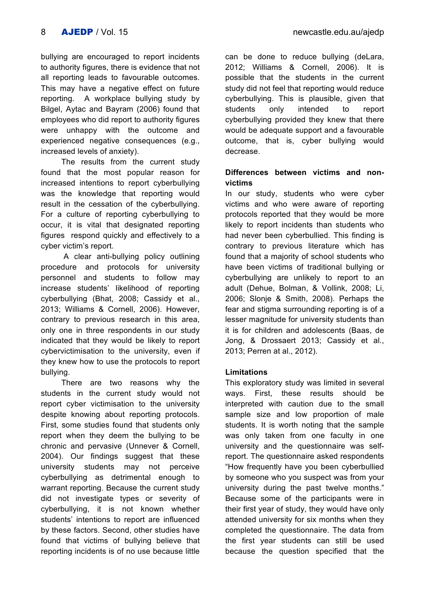bullying are encouraged to report incidents to authority figures, there is evidence that not all reporting leads to favourable outcomes. This may have a negative effect on future reporting. A workplace bullying study by Bilgel, Aytac and Bayram (2006) found that employees who did report to authority figures were unhappy with the outcome and experienced negative consequences (e.g., increased levels of anxiety).

The results from the current study found that the most popular reason for increased intentions to report cyberbullying was the knowledge that reporting would result in the cessation of the cyberbullying. For a culture of reporting cyberbullying to occur, it is vital that designated reporting figures respond quickly and effectively to a cyber victim's report.

A clear anti-bullying policy outlining procedure and protocols for university personnel and students to follow may increase students' likelihood of reporting cyberbullying (Bhat, 2008; Cassidy et al., 2013; Williams & Cornell, 2006). However, contrary to previous research in this area, only one in three respondents in our study indicated that they would be likely to report cybervictimisation to the university, even if they knew how to use the protocols to report bullying.

There are two reasons why the students in the current study would not report cyber victimisation to the university despite knowing about reporting protocols. First, some studies found that students only report when they deem the bullying to be chronic and pervasive (Unnever & Cornell, 2004). Our findings suggest that these university students may not perceive cyberbullying as detrimental enough to warrant reporting. Because the current study did not investigate types or severity of cyberbullying, it is not known whether students' intentions to report are influenced by these factors. Second, other studies have found that victims of bullying believe that reporting incidents is of no use because little

can be done to reduce bullying (deLara, 2012; Williams & Cornell, 2006). It is possible that the students in the current study did not feel that reporting would reduce cyberbullying. This is plausible, given that students only intended to report cyberbullying provided they knew that there would be adequate support and a favourable outcome, that is, cyber bullying would decrease.

# **Differences between victims and nonvictims**

In our study, students who were cyber victims and who were aware of reporting protocols reported that they would be more likely to report incidents than students who had never been cyberbullied. This finding is contrary to previous literature which has found that a majority of school students who have been victims of traditional bullying or cyberbullying are unlikely to report to an adult (Dehue, Bolman, & Vollink, 2008; Li, 2006; Slonje & Smith, 2008). Perhaps the fear and stigma surrounding reporting is of a lesser magnitude for university students than it is for children and adolescents (Baas, de Jong, & Drossaert 2013; Cassidy et al., 2013; Perren at al., 2012).

# **Limitations**

This exploratory study was limited in several ways. First, these results should be interpreted with caution due to the small sample size and low proportion of male students. It is worth noting that the sample was only taken from one faculty in one university and the questionnaire was selfreport. The questionnaire asked respondents "How frequently have you been cyberbullied by someone who you suspect was from your university during the past twelve months." Because some of the participants were in their first year of study, they would have only attended university for six months when they completed the questionnaire. The data from the first year students can still be used because the question specified that the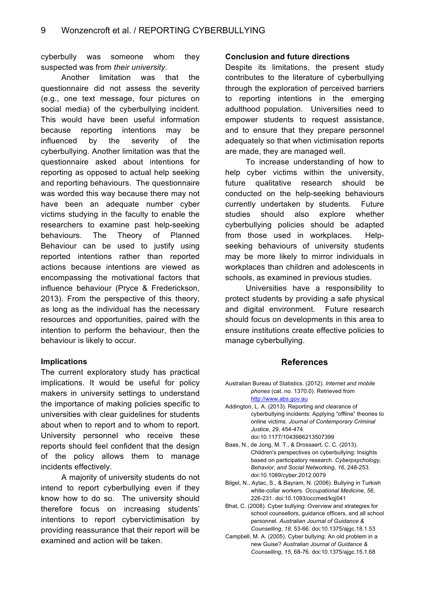cyberbully was someone whom they suspected was from *their university*.

Another limitation was that the questionnaire did not assess the severity (e.g., one text message, four pictures on social media) of the cyberbullying incident. This would have been useful information because reporting intentions may be influenced by the severity of the cyberbullying. Another limitation was that the questionnaire asked about intentions for reporting as opposed to actual help seeking and reporting behaviours. The questionnaire was worded this way because there may not have been an adequate number cyber victims studying in the faculty to enable the researchers to examine past help-seeking behaviours. The Theory of Planned Behaviour can be used to justify using reported intentions rather than reported actions because intentions are viewed as encompassing the motivational factors that influence behaviour (Pryce & Frederickson, 2013). From the perspective of this theory, as long as the individual has the necessary resources and opportunities, paired with the intention to perform the behaviour, then the behaviour is likely to occur.

#### **Implications**

The current exploratory study has practical implications. It would be useful for policy makers in university settings to understand the importance of making policies specific to universities with clear guidelines for students about when to report and to whom to report. University personnel who receive these reports should feel confident that the design of the policy allows them to manage incidents effectively.

A majority of university students do not intend to report cyberbullying even if they know how to do so. The university should therefore focus on increasing students' intentions to report cybervictimisation by providing reassurance that their report will be examined and action will be taken.

#### **Conclusion and future directions**

Despite its limitations, the present study contributes to the literature of cyberbullying through the exploration of perceived barriers to reporting intentions in the emerging adulthood population. Universities need to empower students to request assistance, and to ensure that they prepare personnel adequately so that when victimisation reports are made, they are managed well.

To increase understanding of how to help cyber victims within the university. future qualitative research should be conducted on the help-seeking behaviours currently undertaken by students. Future studies should also explore whether cyberbullying policies should be adapted from those used in workplaces. Helpseeking behaviours of university students may be more likely to mirror individuals in workplaces than children and adolescents in schools, as examined in previous studies.

Universities have a responsibility to protect students by providing a safe physical and digital environment. Future research should focus on developments in this area to ensure institutions create effective policies to manage cyberbullying.

#### **References**

- Australian Bureau of Statistics. (2012). *Internet and mobile phones* (cat. no. 1370.0). Retrieved from http://www.abs.gov.au
- Addington, L. A. (2013). Reporting and clearance of cyberbullying incidents: Applying "offline" theories to online victims. *Journal of Contemporary Criminal Justice*, *29*, 454-474. doi:10.1177/1043986213507399
- Baas, N., de Jong, M. T., & Drossaert, C. C. (2013). Children's perspectives on cyberbullying: Insights based on participatory research. *Cyberpsychology, Behavior, and Social Networking*, *16*, 248-253. doi:10.1089/cyber.2012.0079
- Bilgel, N., Aytac, S., & Bayram, N. (2006). Bullying in Turkish white-collar workers. *Occupational Medicine*, *56*, 226-231. doi:10.1093/occmed/kqj041
- Bhat, C. (2008). Cyber bullying: Overview and strategies for school counsellors, guidance officers, and all school personnel. *Australian Journal of Guidance & Counselling*, *18*, 53-66. doi:10.1375/ajgc.18.1.53
- Campbell, M. A. (2005). Cyber bullying: An old problem in a new Guise? *Australian Journal of Guidance & Counselling*, *15*, 68-76. doi:10.1375/ajgc.15.1.68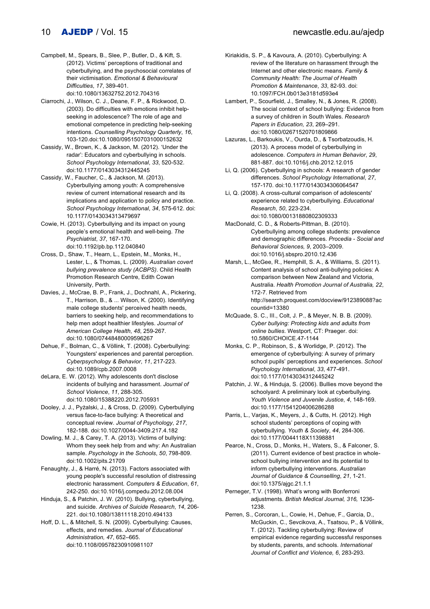Campbell, M., Spears, B., Slee, P., Butler, D., & Kift, S. (2012). Victims' perceptions of traditional and cyberbullying, and the psychosocial correlates of their victimisation. *Emotional & Behavioural Difficulties*, *17*, 389-401.

doi:10.1080/13632752.2012.704316

Ciarrochi, J., Wilson, C. J., Deane, F. P., & Rickwood, D. (2003). Do difficulties with emotions inhibit helpseeking in adolescence? The role of age and emotional competence in predicting help-seeking intentions. *Counselling Psychology Quarterly*, *16*, 103-120.doi:10.1080/0951507031000152632

Cassidy, W., Brown, K., & Jackson, M. (2012). 'Under the radar': Educators and cyberbullying in schools. *School Psychology International*, *33*, 520-532. doi:10.1177/0143034312445245

Cassidy, W., Faucher, C., & Jackson, M. (2013). Cyberbullying among youth: A comprehensive review of current international research and its implications and application to policy and practice. *School Psychology International*, *34*, 575-612. doi: 10.1177/0143034313479697

- Cowie, H. (2013). Cyberbullying and its impact on young people's emotional health and well-being. *The Psychiatrist*, *37*, 167-170. doi:10.1192/pb.bp.112.040840
- Cross, D., Shaw, T., Hearn, L., Epstein, M., Monks, H., Lester, L., & Thomas, L. (2009). *Australian covert bullying prevalence study (ACBPS)*. Child Health Promotion Research Centre, Edith Cowan University, Perth.
- Davies, J., McCrae, B. P., Frank, J., Dochnahl, A., Pickering, T., Harrison, B., & ... Wilson, K. (2000). Identifying male college students' perceived health needs, barriers to seeking help, and recommendations to help men adopt healthier lifestyles. *Journal of American College Health*, *48*, 259-267. doi:10.1080/07448480009596267
- Dehue, F., Bolman, C., & Völlink, T. (2008). Cyberbullying: Youngsters' experiences and parental perception. *Cyberpsychology & Behavior*, *11*, 217-223. doi:10.1089/cpb.2007.0008
- deLara, E. W. (2012). Why adolescents don't disclose incidents of bullying and harassment. *Journal of School Violence*, *11*, 288-305. doi:10.1080/15388220.2012.705931

Dooley, J. J., Pyżalski, J., & Cross, D. (2009). Cyberbullying versus face-to-face bullying: A theoretical and conceptual review. *Journal of Psychology*, *217*, 182-188. doi:10.1027/0044-3409.217.4.182

Dowling, M. J., & Carey, T. A. (2013). Victims of bullying: Whom they seek help from and why: An Australian sample. *Psychology in the Schools*, *50*, 798-809. doi:10.1002/pits.21709

Fenaughty, J., & Harré, N. (2013). Factors associated with young people's successful resolution of distressing electronic harassment. *Computers & Education*, *61*, 242-250. doi:10.1016/j.compedu.2012.08.004

Hinduja, S., & Patchin, J. W. (2010). Bullying, cyberbullying, and suicide. *Archives of Suicide Research*, *14*, 206- 221. doi:10.1080/13811118.2010.494133

Hoff, D. L., & Mitchell, S. N. (2009). Cyberbullying: Causes, effects, and remedies. *Journal of Educational Administration, 47*, 652–665. doi:10.1108/09578230910981107

Kiriakidis, S. P., & Kavoura, A. (2010). Cyberbullying: A review of the literature on harassment through the Internet and other electronic means. *Family & Community Health: The Journal of Health Promotion & Maintenance*, *33*, 82-93. doi: 10.1097/FCH.0b013e3181d593e4

Lambert, P., Scourfield, J., Smalley, N., & Jones, R. (2008). The social context of school bullying: Evidence from a survey of children in South Wales. *Research Papers in Education, 23*, 269–291. doi:10.1080/02671520701809866

Lazuras, L., Barkoukis, V., Ourda, D., & Tsorbatzoudis, H. (2013). A process model of cyberbullying in adolescence. *Computers in Human Behavior*, *29*, 881-887. doi:10.1016/j.chb.2012.12.015

Li, Q. (2006). Cyberbullying in schools: A research of gender differences. *School Psychology International*, *27*, 157-170. doi:10.1177/0143034306064547

Li, Q. (2008). A cross-cultural comparison of adolescents' experience related to cyberbullying. *Educational Research*, *50*, 223-234. doi:10.1080/00131880802309333

- MacDonald, C. D., & Roberts-Pittman, B. (2010). Cyberbullying among college students: prevalence and demographic differences. *Procedia - Social and Behavioral Sciences, 9*, 2003–2009. doi:10.1016/j.sbspro.2010.12.436
- Marsh, L., McGee, R., Hemphill, S. A., & Williams, S. (2011). Content analysis of school anti-bullying policies: A comparison between New Zealand and Victoria, Australia. *Health Promotion Journal of Australia, 22*, 172-7. Retrieved from http://search.proquest.com/docview/912389088?ac

countid=13380

- McQuade, S. C., III., Colt, J. P., & Meyer, N. B. B. (2009). *Cyber bullying: Protecting kids and adults from online bullies*. Westport, CT: Praeger. doi: 10.5860/CHOICE.47-1144
- Monks, C. P., Robinson, S., & Worlidge, P. (2012). The emergence of cyberbullying: A survey of primary school pupils' perceptions and experiences. *School Psychology International*, *33*, 477-491. doi:10.1177/0143034312445242
- Patchin, J. W., & Hinduja, S. (2006). Bullies move beyond the schoolyard: A preliminary look at cyberbullying. *Youth Violence and Juvenile Justice*, *4*, 148-169. doi:10.1177/1541204006286288
- Parris, L., Varjas, K., Meyers, J., & Cutts, H. (2012). High school students' perceptions of coping with cyberbullying. *Youth & Society*, *44*, 284-306. doi:10.1177/0044118X11398881
- Pearce, N., Cross, D., Monks, H., Waters, S., & Falconer, S. (2011). Current evidence of best practice in wholeschool bullying intervention and its potential to inform cyberbullying interventions. *Australian Journal of Guidance & Counselling*, *21*, 1-21. doi:10.1375/ajgc.21.1.1
- Perneger, T.V. (1998). What's wrong with Bonferroni adjustments. *British Medical Journal, 316,* 1236- 1238.
- Perren, S., Corcoran, L., Cowie, H., Dehue, F., Garcia, D., McGuckin, C., Sevcikova, A., Tsatsou, P., & Völlink, T. (2012). Tackling cyberbullying: Review of empirical evidence regarding successful responses by students, parents, and schools. *International Journal of Conflict and Violence, 6*, 283-293.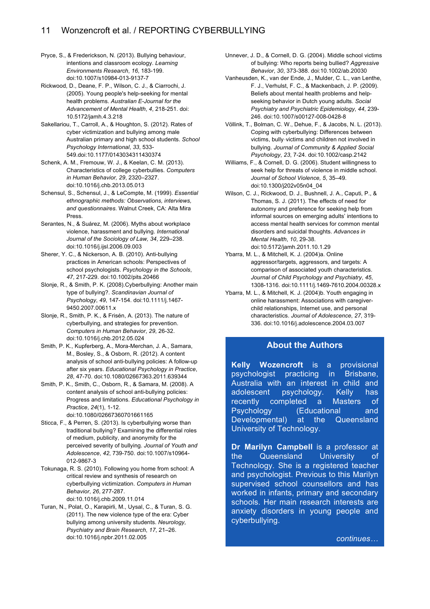- Pryce, S., & Frederickson, N. (2013). Bullying behaviour, intentions and classroom ecology. *Learning Environments Research*, *16*, 183-199. doi:10.1007/s10984-013-9137-7
- Rickwood, D., Deane, F. P., Wilson, C. J., & Ciarrochi, J. (2005). Young people's help-seeking for mental health problems. *Australian E-Journal for the Advancement of Mental Health*, *4*, 218-251. doi: 10.5172/jamh.4.3.218
- Sakellariou, T., Carroll, A., & Houghton, S. (2012). Rates of cyber victimization and bullying among male Australian primary and high school students. *School Psychology International*, *33*, 533- 549.doi:10.1177/0143034311430374
- Schenk, A. M., Fremouw, W. J., & Keelan, C. M. (2013). Characteristics of college cyberbullies. *Computers in Human Behavior, 29*, 2320–2327. doi:10.1016/j.chb.2013.05.013
- Schensul, S., Schensul, J., & LeCompte, M. (1999). *Essential ethnographic methods: Observations, interviews, and questionnaires*. Walnut Creek, CA: Alta Mira Press.
- Serantes, N., & Suárez, M. (2006). Myths about workplace violence, harassment and bullying. *International Journal of the Sociology of Law, 34*, 229–238. doi:10.1016/j.ijsl.2006.09.003
- Sherer, Y. C., & Nickerson, A. B. (2010). Anti-bullying practices in American schools: Perspectives of school psychologists. *Psychology in the Schools*, *47*, 217-229. doi:10.1002/pits.20466
- Slonje, R., & Smith, P. K. (2008).Cyberbullying: Another main type of bullying?. *Scandinavian Journal of Psychology*, *49*, 147-154. doi:10.1111/j.1467- 9450.2007.00611.x
- Slonje, R., Smith, P. K., & Frisén, A. (2013). The nature of cyberbullying, and strategies for prevention. *Computers in Human Behavior*, *29*, 26-32. doi:10.1016/j.chb.2012.05.024
- Smith, P. K., Kupferberg, A., Mora-Merchan, J. A., Samara, M., Bosley, S., & Osborn, R. (2012). A content analysis of school anti-bullying policies: A follow-up after six years. *Educational Psychology in Practice*, *28*, 47-70. doi:10.1080/02667363.2011.639344
- Smith, P. K., Smith, C., Osborn, R., & Samara, M. (2008). A content analysis of school anti-bullying policies: Progress and limitations. *Educational Psychology in Practice*, *24*(1), 1-12. doi:10.1080/02667360701661165
- Sticca, F., & Perren, S. (2013). Is cyberbullying worse than traditional bullying? Examining the differential roles of medium, publicity, and anonymity for the perceived severity of bullying. *Journal of Youth and Adolescence*, *42*, 739-750. doi:10.1007/s10964- 012-9867-3
- Tokunaga, R. S. (2010). Following you home from school: A critical review and synthesis of research on cyberbullying victimization. *Computers in Human Behavior*, *26*, 277-287. doi:10.1016/j.chb.2009.11.014
- Turan, N., Polat, O., Karapirli, M., Uysal, C., & Turan, S. G. (2011). The new violence type of the era: Cyber bullying among university students. *Neurology, Psychiatry and Brain Research*, *17*, 21–26. doi:10.1016/j.npbr.2011.02.005
- Unnever, J. D., & Cornell, D. G. (2004). Middle school victims of bullying: Who reports being bullied? *Aggressive Behavior*, *30*, 373-388. doi:10.1002/ab.20030
- Vanheusden, K., van der Ende, J., Mulder, C. L., van Lenthe, F. J., Verhulst, F. C., & Mackenbach, J. P. (2009). Beliefs about mental health problems and helpseeking behavior in Dutch young adults. *Social Psychiatry and Psychiatric Epidemiology*, *44*, 239- 246. doi:10.1007/s00127-008-0428-8
- Völlink, T., Bolman, C. W., Dehue, F., & Jacobs, N. L. (2013). Coping with cyberbullying: Differences between victims, bully‐victims and children not involved in bullying. *Journal of Community & Applied Social Psychology*, *23*, 7-24. doi:10.1002/casp.2142
- Williams, F., & Cornell, D. G. (2006). Student willingness to seek help for threats of violence in middle school. *Journal of School Violence, 5*, 35–49. doi:10.1300/j202v05n04\_04
- Wilson, C. J., Rickwood, D. J., Bushnell, J. A., Caputi, P., & Thomas, S. J. (2011). The effects of need for autonomy and preference for seeking help from informal sources on emerging adults' intentions to access mental health services for common mental disorders and suicidal thoughts. *Advances in Mental Health*, *10*, 29-38. doi:10.5172/jamh.2011.10.1.29
- Ybarra, M. L., & Mitchell, K. J. (2004)a. Online aggressor/targets, aggressors, and targets: A comparison of associated youth characteristics. *Journal of Child Psychology and Psychiatry*, *45*, 1308-1316. doi:10.1111/j.1469-7610.2004.00328.x
- Ybarra, M. L., & Mitchell, K. J. (2004)b. Youth engaging in online harassment: Associations with caregiverchild relationships, Internet use, and personal characteristics. *Journal of Adolescence*, *27*, 319- 336. doi:10.1016/j.adolescence.2004.03.007

#### **About the Authors**

**Kelly Wozencroft** is a provisional psychologist practicing in Brisbane, Australia with an interest in child and adolescent psychology. Kelly has recently completed a Masters of Psychology (Educational and Developmental) at the Queensland University of Technology.

**Dr Marilyn Campbell** is a professor at the Queensland University of Technology. She is a registered teacher and psychologist. Previous to this Marilyn supervised school counsellors and has worked in infants, primary and secondary schools. Her main research interests are anxiety disorders in young people and cyberbullying.

*continues…*